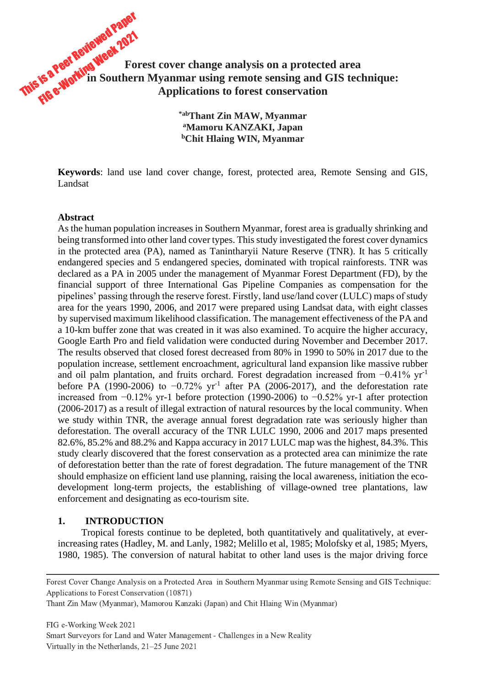# This is a Peer Reviewed Paper<br>This is a Peer Reviewed Paper Fis a Peer Reviewed . 2021<br>Fis a Peer Reviewed . For **Forest cover change analysis on a protected area in Southern Myanmar using remote sensing and GIS technique: Applications to forest conservation**

**\*abThant Zin MAW, Myanmar <sup>a</sup>Mamoru KANZAKI, Japan <sup>b</sup>Chit Hlaing WIN, Myanmar**

**Keywords**: land use land cover change, forest, protected area, Remote Sensing and GIS, Landsat

### **Abstract**

As the human population increases in Southern Myanmar, forest area is gradually shrinking and being transformed into other land cover types. This study investigated the forest cover dynamics in the protected area (PA), named as Tanintharyii Nature Reserve (TNR). It has 5 critically endangered species and 5 endangered species, dominated with tropical rainforests. TNR was declared as a PA in 2005 under the management of Myanmar Forest Department (FD), by the financial support of three International Gas Pipeline Companies as compensation for the pipelines' passing through the reserve forest. Firstly, land use/land cover (LULC) maps of study area for the years 1990, 2006, and 2017 were prepared using Landsat data, with eight classes by supervised maximum likelihood classification. The management effectiveness of the PA and a 10-km buffer zone that was created in it was also examined. To acquire the higher accuracy, Google Earth Pro and field validation were conducted during November and December 2017. The results observed that closed forest decreased from 80% in 1990 to 50% in 2017 due to the population increase, settlement encroachment, agricultural land expansion like massive rubber and oil palm plantation, and fruits orchard. Forest degradation increased from −0.41% yr-1 before PA (1990-2006) to  $-0.72\%$  yr<sup>-1</sup> after PA (2006-2017), and the deforestation rate increased from −0.12% yr-1 before protection (1990-2006) to −0.52% yr-1 after protection (2006-2017) as a result of illegal extraction of natural resources by the local community. When we study within TNR, the average annual forest degradation rate was seriously higher than deforestation. The overall accuracy of the TNR LULC 1990, 2006 and 2017 maps presented 82.6%, 85.2% and 88.2% and Kappa accuracy in 2017 LULC map was the highest, 84.3%. This study clearly discovered that the forest conservation as a protected area can minimize the rate of deforestation better than the rate of forest degradation. The future management of the TNR should emphasize on efficient land use planning, raising the local awareness, initiation the ecodevelopment long-term projects, the establishing of village-owned tree plantations, law enforcement and designating as eco-tourism site.

## **1. INTRODUCTION**

Tropical forests continue to be depleted, both quantitatively and qualitatively, at everincreasing rates (Hadley, M. and Lanly, 1982; Melillo et al, 1985; Molofsky et al, 1985; Myers, 1980, 1985). The conversion of natural habitat to other land uses is the major driving force

Forest Cover Change Analysis on a Protected Area in Southern Myanmar using Remote Sensing and GIS Technique: Applications to Forest Conservation (10871)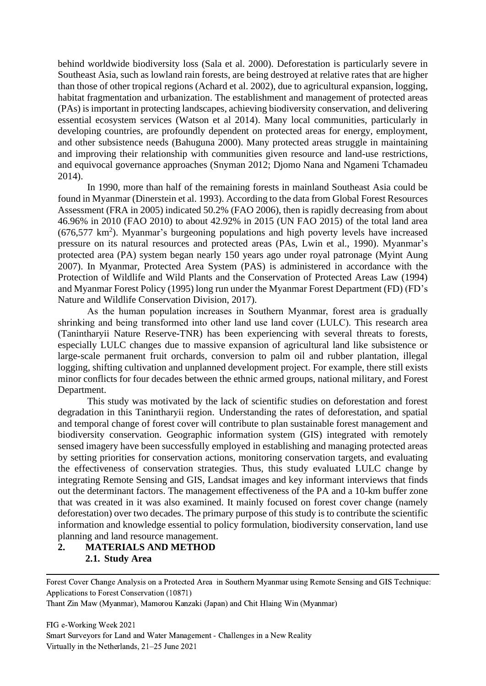behind worldwide biodiversity loss (Sala et al. 2000). Deforestation is particularly severe in Southeast Asia, such as lowland rain forests, are being destroyed at relative rates that are higher than those of other tropical regions (Achard et al. 2002), due to agricultural expansion, logging, habitat fragmentation and urbanization. The establishment and management of protected areas (PAs) is important in protecting landscapes, achieving biodiversity conservation, and delivering essential ecosystem services (Watson et al 2014). Many local communities, particularly in developing countries, are profoundly dependent on protected areas for energy, employment, and other subsistence needs (Bahuguna 2000). Many protected areas struggle in maintaining and improving their relationship with communities given resource and land-use restrictions, and equivocal governance approaches (Snyman 2012; Djomo Nana and Ngameni Tchamadeu 2014).

In 1990, more than half of the remaining forests in mainland Southeast Asia could be found in Myanmar (Dinerstein et al. 1993). According to the data from Global Forest Resources Assessment (FRA in 2005) indicated 50.2% (FAO 2006), then is rapidly decreasing from about 46.96% in 2010 (FAO 2010) to about 42.92% in 2015 (UN FAO 2015) of the total land area  $(676,577 \text{ km}^2)$ . Myanmar's burgeoning populations and high poverty levels have increased pressure on its natural resources and protected areas (PAs, Lwin et al., 1990). Myanmar's protected area (PA) system began nearly 150 years ago under royal patronage (Myint Aung 2007). In Myanmar, Protected Area System (PAS) is administered in accordance with the Protection of Wildlife and Wild Plants and the Conservation of Protected Areas Law (1994) and Myanmar Forest Policy (1995) long run under the Myanmar Forest Department (FD) (FD's Nature and Wildlife Conservation Division, 2017).

As the human population increases in Southern Myanmar, forest area is gradually shrinking and being transformed into other land use land cover (LULC). This research area (Tanintharyii Nature Reserve-TNR) has been experiencing with several threats to forests, especially LULC changes due to massive expansion of agricultural land like subsistence or large-scale permanent fruit orchards, conversion to palm oil and rubber plantation, illegal logging, shifting cultivation and unplanned development project. For example, there still exists minor conflicts for four decades between the ethnic armed groups, national military, and Forest Department.

This study was motivated by the lack of scientific studies on deforestation and forest degradation in this Tanintharyii region. Understanding the rates of deforestation, and spatial and temporal change of forest cover will contribute to plan sustainable forest management and biodiversity conservation. Geographic information system (GIS) integrated with remotely sensed imagery have been successfully employed in establishing and managing protected areas by setting priorities for conservation actions, monitoring conservation targets, and evaluating the effectiveness of conservation strategies. Thus, this study evaluated LULC change by integrating Remote Sensing and GIS, Landsat images and key informant interviews that finds out the determinant factors. The management effectiveness of the PA and a 10-km buffer zone that was created in it was also examined. It mainly focused on forest cover change (namely deforestation) over two decades. The primary purpose of this study is to contribute the scientific information and knowledge essential to policy formulation, biodiversity conservation, land use planning and land resource management.

# **2. MATERIALS AND METHOD 2.1. Study Area**

Forest Cover Change Analysis on a Protected Area in Southern Myanmar using Remote Sensing and GIS Technique: Applications to Forest Conservation (10871)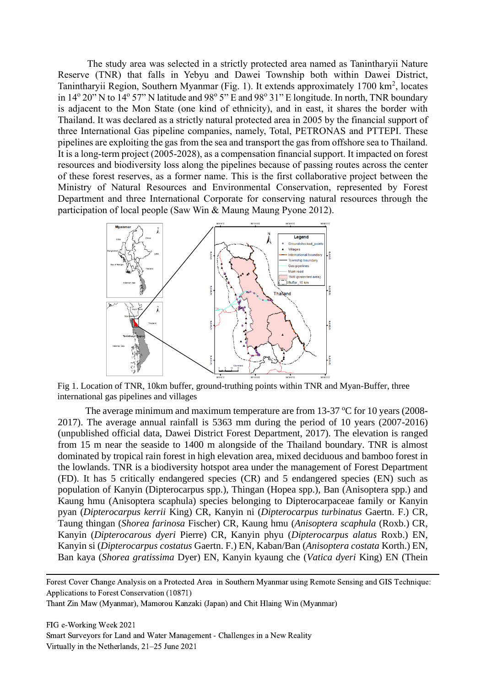The study area was selected in a strictly protected area named as Tanintharyii Nature Reserve (TNR) that falls in Yebyu and Dawei Township both within Dawei District, Tanintharyii Region, Southern Myanmar (Fig. 1). It extends approximately 1700 km<sup>2</sup>, locates in 14<sup>°</sup> 20" N to 14<sup>°</sup> 57" N latitude and 98° 5" E and 98° 31" E longitude. In north, TNR boundary is adjacent to the Mon State (one kind of ethnicity), and in east, it shares the border with Thailand. It was declared as a strictly natural protected area in 2005 by the financial support of three International Gas pipeline companies, namely, Total, PETRONAS and PTTEPI. These pipelines are exploiting the gas from the sea and transport the gas from offshore sea to Thailand. It is a long-term project (2005-2028), as a compensation financial support. It impacted on forest resources and biodiversity loss along the pipelines because of passing routes across the center of these forest reserves, as a former name. This is the first collaborative project between the Ministry of Natural Resources and Environmental Conservation, represented by Forest Department and three International Corporate for conserving natural resources through the participation of local people (Saw Win & Maung Maung Pyone 2012).



Fig 1. Location of TNR, 10km buffer, ground-truthing points within TNR and Myan-Buffer, three international gas pipelines and villages

The average minimum and maximum temperature are from 13-37  $\degree$ C for 10 years (2008-2017). The average annual rainfall is 5363 mm during the period of 10 years (2007-2016) (unpublished official data, Dawei District Forest Department, 2017). The elevation is ranged from 15 m near the seaside to 1400 m alongside of the Thailand boundary. TNR is almost dominated by tropical rain forest in high elevation area, mixed deciduous and bamboo forest in the lowlands. TNR is a biodiversity hotspot area under the management of Forest Department (FD). It has 5 critically endangered species (CR) and 5 endangered species (EN) such as population of Kanyin (Dipterocarpus spp.), Thingan (Hopea spp.), Ban (Anisoptera spp.) and Kaung hmu (Anisoptera scaphula) species belonging to Dipterocarpaceae family or Kanyin pyan (*Dipterocarpus kerrii* King) CR, Kanyin ni (*Dipterocarpus turbinatus* Gaertn. F.) CR, Taung thingan (*Shorea farinosa* Fischer) CR, Kaung hmu (*Anisoptera scaphula* (Roxb.) CR, Kanyin (*Dipterocarous dyeri* Pierre) CR, Kanyin phyu (*Dipterocarpus alatus* Roxb.) EN, Kanyin si (*Dipterocarpus costatus* Gaertn. F.) EN, Kaban/Ban (*Anisoptera costata* Korth.) EN, Ban kaya (*Shorea gratissima* Dyer) EN, Kanyin kyaung che (*Vatica dyeri* King) EN (Thein

Forest Cover Change Analysis on a Protected Area in Southern Myanmar using Remote Sensing and GIS Technique: Applications to Forest Conservation (10871)

Thant Zin Maw (Myanmar), Mamorou Kanzaki (Japan) and Chit Hlaing Win (Myanmar)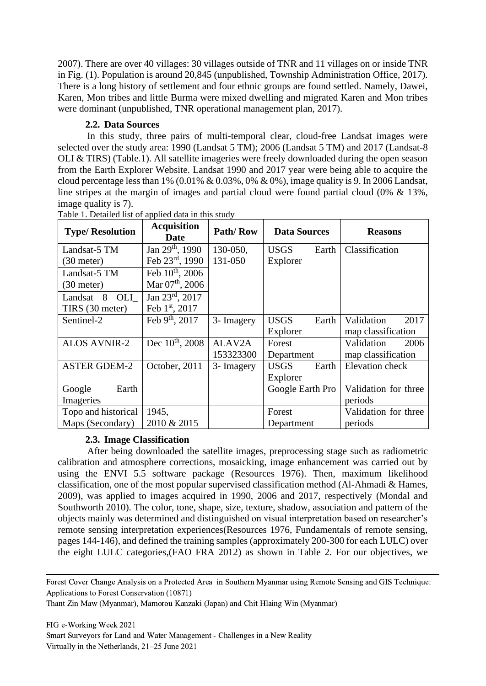2007). There are over 40 villages: 30 villages outside of TNR and 11 villages on or inside TNR in Fig. (1). Population is around 20,845 (unpublished, Township Administration Office, 2017). There is a long history of settlement and four ethnic groups are found settled. Namely, Dawei, Karen, Mon tribes and little Burma were mixed dwelling and migrated Karen and Mon tribes were dominant (unpublished, TNR operational management plan, 2017).

# **2.2. Data Sources**

In this study, three pairs of multi-temporal clear, cloud-free Landsat images were selected over the study area: 1990 (Landsat 5 TM); 2006 (Landsat 5 TM) and 2017 (Landsat-8 OLI & TIRS) (Table.1). All satellite imageries were freely downloaded during the open season from the Earth Explorer Website. Landsat 1990 and 2017 year were being able to acquire the cloud percentage less than 1%  $(0.01\% \& 0.03\%, 0\% \& 0\%)$ , image quality is 9. In 2006 Landsat, line stripes at the margin of images and partial cloud were found partial cloud (0% & 13%, image quality is 7).

| <b>Type/Resolution</b> | <b>Acquisition</b><br><b>Date</b> | Path/Row   | <b>Data Sources</b>  | <b>Reasons</b>       |  |
|------------------------|-----------------------------------|------------|----------------------|----------------------|--|
| Landsat-5 TM           | Jan $29^{th}$ , 1990              | 130-050.   | <b>USGS</b><br>Earth | Classification       |  |
| $(30$ meter)           | Feb $23^{rd}$ , 1990              | 131-050    | Explorer             |                      |  |
| Landsat-5 TM           | Feb $10^{th}$ , 2006              |            |                      |                      |  |
| $(30$ meter)           | Mar $07th$ , 2006                 |            |                      |                      |  |
| OLI<br>8<br>Landsat    | Jan $23^{\text{rd}}$ , $2017$     |            |                      |                      |  |
| TIRS (30 meter)        | Feb 1st, 2017                     |            |                      |                      |  |
| Sentinel-2             | Feb 9th, 2017                     | 3- Imagery | <b>USGS</b><br>Earth | Validation<br>2017   |  |
|                        |                                   |            | Explorer             | map classification   |  |
| <b>ALOS AVNIR-2</b>    | Dec $10^{th}$ , 2008              | ALAV2A     | Forest               | Validation<br>2006   |  |
|                        |                                   | 153323300  | Department           | map classification   |  |
| <b>ASTER GDEM-2</b>    | October, 2011                     | 3- Imagery | <b>USGS</b><br>Earth | Elevation check      |  |
|                        |                                   |            | Explorer             |                      |  |
| Earth<br>Google        |                                   |            | Google Earth Pro     | Validation for three |  |
| Imageries              |                                   |            |                      | periods              |  |
| Topo and historical    | 1945,                             |            | Forest               | Validation for three |  |
| Maps (Secondary)       | 2010 & 2015                       |            | Department           | periods              |  |

Table 1. Detailed list of applied data in this study

# **2.3. Image Classification**

After being downloaded the satellite images, preprocessing stage such as radiometric calibration and atmosphere corrections, mosaicking, image enhancement was carried out by using the ENVI 5.5 software package (Resources 1976). Then, maximum likelihood classification, one of the most popular supervised classification method (Al-Ahmadi & Hames, 2009), was applied to images acquired in 1990, 2006 and 2017, respectively (Mondal and Southworth 2010). The color, tone, shape, size, texture, shadow, association and pattern of the objects mainly was determined and distinguished on visual interpretation based on researcher's remote sensing interpretation experiences(Resources 1976, Fundamentals of remote sensing, pages 144-146), and defined the training samples (approximately 200-300 for each LULC) over the eight LULC categories,(FAO FRA 2012) as shown in Table 2. For our objectives, we

Forest Cover Change Analysis on a Protected Area in Southern Myanmar using Remote Sensing and GIS Technique: Applications to Forest Conservation (10871)

Thant Zin Maw (Myanmar), Mamorou Kanzaki (Japan) and Chit Hlaing Win (Myanmar)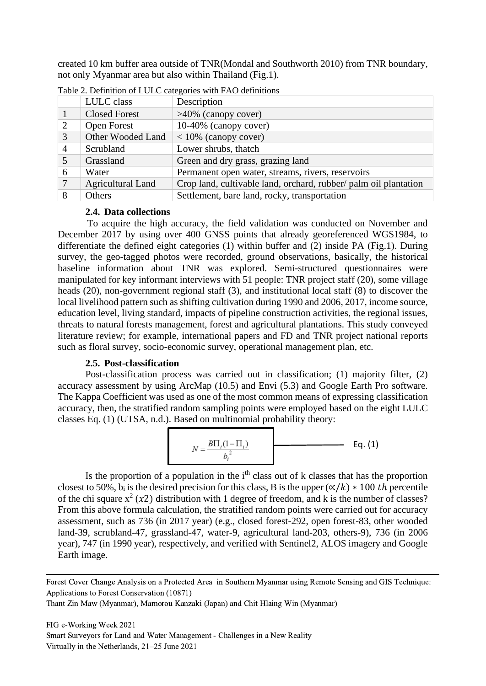created 10 km buffer area outside of TNR(Mondal and Southworth 2010) from TNR boundary, not only Myanmar area but also within Thailand (Fig.1).

|   | LULC class               | Description                                                      |
|---|--------------------------|------------------------------------------------------------------|
|   | <b>Closed Forest</b>     | $>40\%$ (canopy cover)                                           |
| 2 | <b>Open Forest</b>       | 10-40% (canopy cover)                                            |
| 3 | Other Wooded Land        | $<$ 10% (canopy cover)                                           |
| 4 | Scrubland                | Lower shrubs, thatch                                             |
| 5 | Grassland                | Green and dry grass, grazing land                                |
| 6 | Water                    | Permanent open water, streams, rivers, reservoirs                |
| 7 | <b>Agricultural Land</b> | Crop land, cultivable land, orchard, rubber/ palm oil plantation |
| 8 | Others                   | Settlement, bare land, rocky, transportation                     |

Table 2. Definition of LULC categories with FAO definitions

## **2.4. Data collections**

To acquire the high accuracy, the field validation was conducted on November and December 2017 by using over 400 GNSS points that already georeferenced WGS1984, to differentiate the defined eight categories (1) within buffer and (2) inside PA (Fig.1). During survey, the geo-tagged photos were recorded, ground observations, basically, the historical baseline information about TNR was explored. Semi-structured questionnaires were manipulated for key informant interviews with 51 people: TNR project staff (20), some village heads (20), non-government regional staff (3), and institutional local staff (8) to discover the local livelihood pattern such as shifting cultivation during 1990 and 2006, 2017, income source, education level, living standard, impacts of pipeline construction activities, the regional issues, threats to natural forests management, forest and agricultural plantations. This study conveyed literature review; for example, international papers and FD and TNR project national reports such as floral survey, socio-economic survey, operational management plan, etc.

## **2.5. Post-classification**

Post-classification process was carried out in classification; (1) majority filter, (2) accuracy assessment by using ArcMap (10.5) and Envi (5.3) and Google Earth Pro software. The Kappa Coefficient was used as one of the most common means of expressing classification accuracy, then, the stratified random sampling points were employed based on the eight LULC classes Eq. (1) (UTSA, n.d.). Based on multinomial probability theory:

$$
N = \frac{B\Pi_i(1-\Pi_i)}{b_i^2}
$$
 Eq. (1)

Is the proportion of a population in the  $i<sup>th</sup>$  class out of k classes that has the proportion closest to 50%, b<sub>i</sub> is the desired precision for this class, B is the upper  $(\alpha/k) * 100$  th percentile of the chi square  $x^2$  (x2) distribution with 1 degree of freedom, and k is the number of classes? From this above formula calculation, the stratified random points were carried out for accuracy assessment, such as 736 (in 2017 year) (e.g., closed forest-292, open forest-83, other wooded land-39, scrubland-47, grassland-47, water-9, agricultural land-203, others-9), 736 (in 2006 year), 747 (in 1990 year), respectively, and verified with Sentinel2, ALOS imagery and Google Earth image.

Forest Cover Change Analysis on a Protected Area in Southern Myanmar using Remote Sensing and GIS Technique: Applications to Forest Conservation (10871)

Thant Zin Maw (Myanmar), Mamorou Kanzaki (Japan) and Chit Hlaing Win (Myanmar)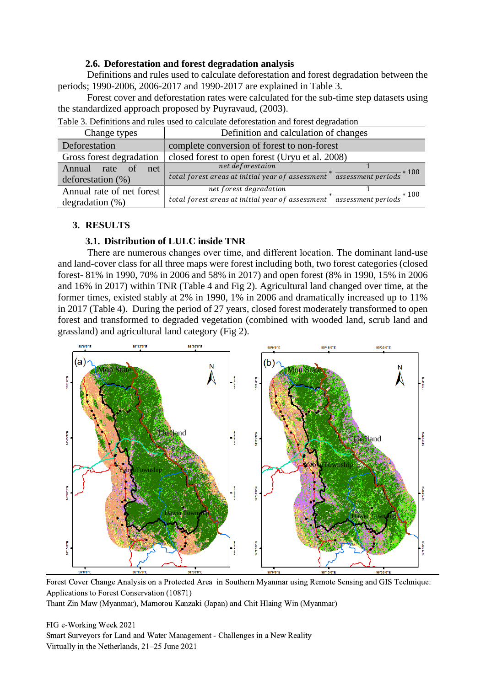## **2.6. Deforestation and forest degradation analysis**

Definitions and rules used to calculate deforestation and forest degradation between the periods; 1990-2006, 2006-2017 and 1990-2017 are explained in Table 3.

Forest cover and deforestation rates were calculated for the sub-time step datasets using the standardized approach proposed by Puyravaud, (2003).

| Table 5. Definitions and fules used to calculate deforestation and forest degradation |                                                                                              |  |  |  |  |  |
|---------------------------------------------------------------------------------------|----------------------------------------------------------------------------------------------|--|--|--|--|--|
| Change types                                                                          | Definition and calculation of changes                                                        |  |  |  |  |  |
| Deforestation                                                                         | complete conversion of forest to non-forest                                                  |  |  |  |  |  |
| Gross forest degradation                                                              | closed forest to open forest (Uryu et al. 2008)                                              |  |  |  |  |  |
| Annual<br>rate of<br>net                                                              | net deforestaion                                                                             |  |  |  |  |  |
| deforestation $(\%)$                                                                  | total forest areas at initial year of assessment $*$ assessment periods $*$ 100              |  |  |  |  |  |
| Annual rate of net forest                                                             | net forest degradation                                                                       |  |  |  |  |  |
| degradation $(\%)$                                                                    | $\frac{1}{4}$ assessment periods $*$ 100<br>total forest areas at initial year of assessment |  |  |  |  |  |

Table 3. Definitions and rules used to calculate deforestation and forest degradation

# **3. RESULTS**

# **3.1. Distribution of LULC inside TNR**

There are numerous changes over time, and different location. The dominant land-use and land-cover class for all three maps were forest including both, two forest categories (closed forest- 81% in 1990, 70% in 2006 and 58% in 2017) and open forest (8% in 1990, 15% in 2006 and 16% in 2017) within TNR (Table 4 and Fig 2). Agricultural land changed over time, at the former times, existed stably at 2% in 1990, 1% in 2006 and dramatically increased up to 11% in 2017 (Table 4). During the period of 27 years, closed forest moderately transformed to open forest and transformed to degraded vegetation (combined with wooded land, scrub land and grassland) and agricultural land category (Fig 2).



Forest Cover Change Analysis on a Protected Area in Southern Myanmar using Remote Sensing and GIS Technique: Applications to Forest Conservation (10871)

Thant Zin Maw (Myanmar), Mamorou Kanzaki (Japan) and Chit Hlaing Win (Myanmar)

FIG e-Working Week 2021 Smart Surveyors for Land and Water Management - Challenges in a New Reality Virtually in the Netherlands, 21–25 June 2021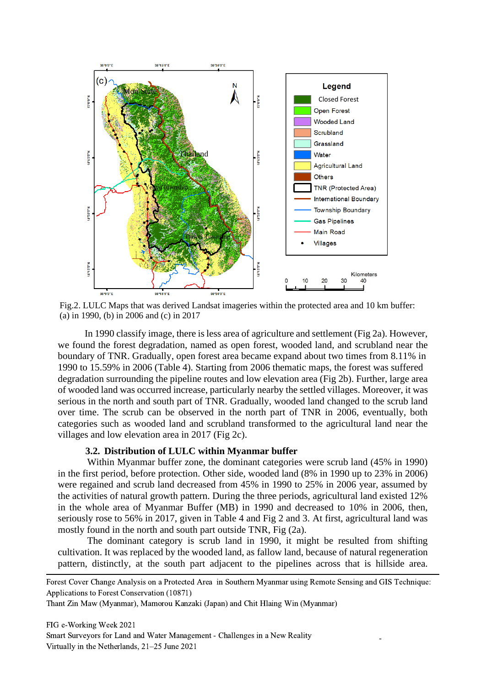

Fig.2. LULC Maps that was derived Landsat imageries within the protected area and 10 km buffer: (a) in 1990, (b) in 2006 and (c) in 2017

In 1990 classify image, there is less area of agriculture and settlement (Fig 2a). However, we found the forest degradation, named as open forest, wooded land, and scrubland near the boundary of TNR. Gradually, open forest area became expand about two times from 8.11% in 1990 to 15.59% in 2006 (Table 4). Starting from 2006 thematic maps, the forest was suffered degradation surrounding the pipeline routes and low elevation area (Fig 2b). Further, large area of wooded land was occurred increase, particularly nearby the settled villages. Moreover, it was serious in the north and south part of TNR. Gradually, wooded land changed to the scrub land over time. The scrub can be observed in the north part of TNR in 2006, eventually, both categories such as wooded land and scrubland transformed to the agricultural land near the villages and low elevation area in 2017 (Fig 2c).

# **3.2. Distribution of LULC within Myanmar buffer**

Within Myanmar buffer zone, the dominant categories were scrub land (45% in 1990) in the first period, before protection. Other side, wooded land (8% in 1990 up to 23% in 2006) were regained and scrub land decreased from 45% in 1990 to 25% in 2006 year, assumed by the activities of natural growth pattern. During the three periods, agricultural land existed 12% in the whole area of Myanmar Buffer (MB) in 1990 and decreased to 10% in 2006, then, seriously rose to 56% in 2017, given in Table 4 and Fig 2 and 3. At first, agricultural land was mostly found in the north and south part outside TNR, Fig (2a).

The dominant category is scrub land in 1990, it might be resulted from shifting cultivation. It was replaced by the wooded land, as fallow land, because of natural regeneration pattern, distinctly, at the south part adjacent to the pipelines across that is hillside area.

-

Forest Cover Change Analysis on a Protected Area in Southern Myanmar using Remote Sensing and GIS Technique: Applications to Forest Conservation (10871)

Thant Zin Maw (Myanmar), Mamorou Kanzaki (Japan) and Chit Hlaing Win (Myanmar)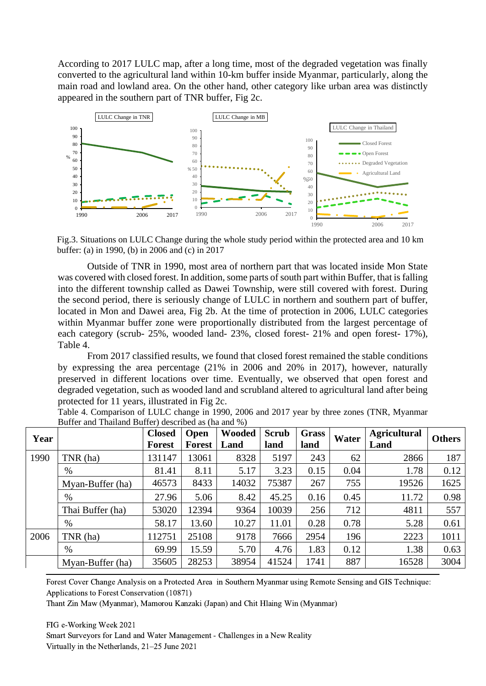According to 2017 LULC map, after a long time, most of the degraded vegetation was finally converted to the agricultural land within 10-km buffer inside Myanmar, particularly, along the main road and lowland area. On the other hand, other category like urban area was distinctly appeared in the southern part of TNR buffer, Fig 2c.



Fig.3. Situations on LULC Change during the whole study period within the protected area and 10 km buffer: (a) in 1990, (b) in 2006 and (c) in 2017

|                                                                                          | 100                                                                                                                                                                                         |               | 100           |               |              |              | LULC Change in Thailand |                                                                                      |               |
|------------------------------------------------------------------------------------------|---------------------------------------------------------------------------------------------------------------------------------------------------------------------------------------------|---------------|---------------|---------------|--------------|--------------|-------------------------|--------------------------------------------------------------------------------------|---------------|
|                                                                                          | 90<br>80                                                                                                                                                                                    |               | 90            |               |              | 100          |                         | Closed Forest                                                                        |               |
|                                                                                          | 70                                                                                                                                                                                          |               | 80<br>70      |               |              | 90<br>80     |                         | Open Forest                                                                          |               |
|                                                                                          | $\%$<br>60                                                                                                                                                                                  |               | 60            |               |              | 70           |                         | • Degraded Vegetation                                                                |               |
|                                                                                          | 50<br>40                                                                                                                                                                                    |               | %50<br>40     |               |              | 60           |                         | Agricultural Land                                                                    |               |
|                                                                                          | 30                                                                                                                                                                                          |               | 30            |               |              | %50<br>40    |                         |                                                                                      |               |
|                                                                                          | 20                                                                                                                                                                                          |               | 20            |               |              | 30           |                         |                                                                                      |               |
|                                                                                          | 10                                                                                                                                                                                          |               | 10            |               |              | 20           |                         |                                                                                      |               |
|                                                                                          | 1990<br>2006                                                                                                                                                                                | 2017          | 1990          |               | 2017<br>2006 | 10           |                         |                                                                                      |               |
|                                                                                          |                                                                                                                                                                                             |               |               |               |              | 1990         |                         | 2017<br>2006                                                                         |               |
|                                                                                          | Fig.3. Situations on LULC Change during the whole study period within the protected area and 10 km                                                                                          |               |               |               |              |              |                         |                                                                                      |               |
|                                                                                          | buffer: (a) in 1990, (b) in 2006 and (c) in 2017                                                                                                                                            |               |               |               |              |              |                         |                                                                                      |               |
|                                                                                          |                                                                                                                                                                                             |               |               |               |              |              |                         | Outside of TNR in 1990, most area of northern part that was located inside Mon State |               |
|                                                                                          | was covered with closed forest. In addition, some parts of south part within Buffer, that is falling                                                                                        |               |               |               |              |              |                         |                                                                                      |               |
|                                                                                          | into the different township called as Dawei Township, were still covered with forest. During                                                                                                |               |               |               |              |              |                         |                                                                                      |               |
|                                                                                          | the second period, there is seriously change of LULC in northern and southern part of buffer,                                                                                               |               |               |               |              |              |                         |                                                                                      |               |
|                                                                                          | located in Mon and Dawei area, Fig 2b. At the time of protection in 2006, LULC categories                                                                                                   |               |               |               |              |              |                         |                                                                                      |               |
|                                                                                          | within Myanmar buffer zone were proportionally distributed from the largest percentage of                                                                                                   |               |               |               |              |              |                         |                                                                                      |               |
|                                                                                          | each category (scrub- 25%, wooded land- 23%, closed forest- 21% and open forest- 17%),                                                                                                      |               |               |               |              |              |                         |                                                                                      |               |
|                                                                                          | Table 4.                                                                                                                                                                                    |               |               |               |              |              |                         |                                                                                      |               |
|                                                                                          |                                                                                                                                                                                             |               |               |               |              |              |                         |                                                                                      |               |
| From 2017 classified results, we found that closed forest remained the stable conditions |                                                                                                                                                                                             |               |               |               |              |              |                         |                                                                                      |               |
| by expressing the area percentage (21% in 2006 and 20% in 2017), however, naturally      |                                                                                                                                                                                             |               |               |               |              |              |                         |                                                                                      |               |
|                                                                                          | preserved in different locations over time. Eventually, we observed that open forest and<br>degraded vegetation, such as wooded land and scrubland altered to agricultural land after being |               |               |               |              |              |                         |                                                                                      |               |
|                                                                                          |                                                                                                                                                                                             |               |               |               |              |              |                         |                                                                                      |               |
|                                                                                          | protected for 11 years, illustrated in Fig 2c.                                                                                                                                              |               |               |               |              |              |                         |                                                                                      |               |
|                                                                                          | Table 4. Comparison of LULC change in 1990, 2006 and 2017 year by three zones (TNR, Myanmar<br>Buffer and Thailand Buffer) described as (ha and %)                                          |               |               |               |              |              |                         |                                                                                      |               |
|                                                                                          |                                                                                                                                                                                             | <b>Closed</b> | Open          | <b>Wooded</b> | <b>Scrub</b> | <b>Grass</b> |                         | <b>Agricultural</b>                                                                  |               |
| Year                                                                                     |                                                                                                                                                                                             | <b>Forest</b> | <b>Forest</b> | Land          | land         | land         | Water                   | Land                                                                                 | <b>Others</b> |
| 1990                                                                                     | TNR (ha)                                                                                                                                                                                    | 131147        | 13061         | 8328          | 5197         | 243          | 62                      | 2866                                                                                 | 187           |
|                                                                                          | $\%$                                                                                                                                                                                        | 81.41         | 8.11          | 5.17          | 3.23         | 0.15         | 0.04                    | 1.78                                                                                 | 0.12          |
|                                                                                          | Myan-Buffer (ha)                                                                                                                                                                            | 46573         | 8433          | 14032         | 75387        | 267          | 755                     | 19526                                                                                | 1625          |
|                                                                                          | $\%$                                                                                                                                                                                        | 27.96         | 5.06          | 8.42          | 45.25        | 0.16         | 0.45                    | 11.72                                                                                | 0.98          |
|                                                                                          | Thai Buffer (ha)                                                                                                                                                                            | 53020         | 12394         | 9364          | 10039        | 256          | 712                     | 4811                                                                                 | 557           |
|                                                                                          | $\%$                                                                                                                                                                                        | 58.17         | 13.60         | 10.27         | 11.01        | 0.28         | 0.78                    | 5.28                                                                                 | 0.61          |
| 2006                                                                                     | TNR (ha)                                                                                                                                                                                    | 112751        | 25108         | 9178          | 7666         | 2954         | 196                     | 2223                                                                                 | 1011          |
|                                                                                          | $\%$                                                                                                                                                                                        | 69.99         | 15.59         | 5.70          | 4.76         | 1.83         | 0.12                    | 1.38                                                                                 | 0.63          |
|                                                                                          | Myan-Buffer (ha)                                                                                                                                                                            | 35605         | 28253         | 38954         | 41524        | 1741         | 887                     | 16528                                                                                | 3004          |

Forest Cover Change Analysis on a Protected Area in Southern Myanmar using Remote Sensing and GIS Technique: Applications to Forest Conservation (10871)

Thant Zin Maw (Myanmar), Mamorou Kanzaki (Japan) and Chit Hlaing Win (Myanmar)

FIG e-Working Week 2021 Smart Surveyors for Land and Water Management - Challenges in a New Reality Virtually in the Netherlands, 21–25 June 2021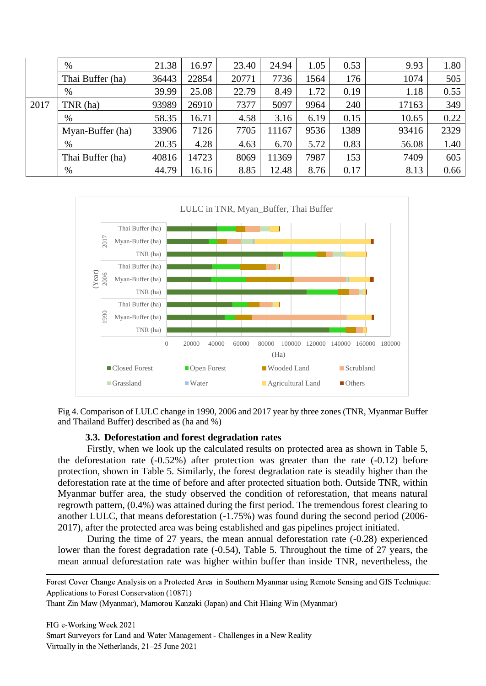|      | $\%$             | 21.38 | 16.97 | 23.40 | 24.94 | 1.05 | 0.53 | 9.93  | 1.80 |
|------|------------------|-------|-------|-------|-------|------|------|-------|------|
|      | Thai Buffer (ha) | 36443 | 22854 | 20771 | 7736  | 1564 | 176  | 1074  | 505  |
|      | $\%$             | 39.99 | 25.08 | 22.79 | 8.49  | 1.72 | 0.19 | 1.18  | 0.55 |
| 2017 | TNR (ha)         | 93989 | 26910 | 7377  | 5097  | 9964 | 240  | 17163 | 349  |
|      | %                | 58.35 | 16.71 | 4.58  | 3.16  | 6.19 | 0.15 | 10.65 | 0.22 |
|      | Myan-Buffer (ha) | 33906 | 7126  | 7705  | 11167 | 9536 | 1389 | 93416 | 2329 |
|      | $\%$             | 20.35 | 4.28  | 4.63  | 6.70  | 5.72 | 0.83 | 56.08 | 1.40 |
|      | Thai Buffer (ha) | 40816 | 14723 | 8069  | 11369 | 7987 | 153  | 7409  | 605  |
|      | $\%$             | 44.79 | 16.16 | 8.85  | 12.48 | 8.76 | 0.17 | 8.13  | 0.66 |



Fig 4. Comparison of LULC change in 1990, 2006 and 2017 year by three zones (TNR, Myanmar Buffer and Thailand Buffer) described as (ha and %)

#### **3.3. Deforestation and forest degradation rates**

Firstly, when we look up the calculated results on protected area as shown in Table 5, the deforestation rate  $(-0.52\%)$  after protection was greater than the rate  $(-0.12)$  before protection, shown in Table 5. Similarly, the forest degradation rate is steadily higher than the deforestation rate at the time of before and after protected situation both. Outside TNR, within Myanmar buffer area, the study observed the condition of reforestation, that means natural regrowth pattern, (0.4%) was attained during the first period. The tremendous forest clearing to another LULC, that means deforestation (-1.75%) was found during the second period (2006- 2017), after the protected area was being established and gas pipelines project initiated.

During the time of 27 years, the mean annual deforestation rate (-0.28) experienced lower than the forest degradation rate (-0.54), Table 5. Throughout the time of 27 years, the mean annual deforestation rate was higher within buffer than inside TNR, nevertheless, the

Forest Cover Change Analysis on a Protected Area in Southern Myanmar using Remote Sensing and GIS Technique: Applications to Forest Conservation (10871)

Thant Zin Maw (Myanmar), Mamorou Kanzaki (Japan) and Chit Hlaing Win (Myanmar)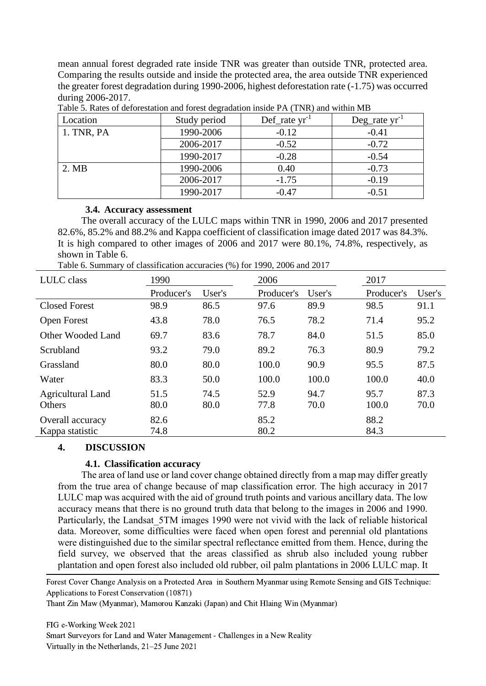mean annual forest degraded rate inside TNR was greater than outside TNR, protected area. Comparing the results outside and inside the protected area, the area outside TNR experienced the greater forest degradation during 1990-2006, highest deforestation rate (-1.75) was occurred during 2006-2017.

| Location   | Study period | $Def_$ rate yr <sup>-1</sup> | $Deg_{rate}$ yr <sup>-1</sup> |
|------------|--------------|------------------------------|-------------------------------|
| 1. TNR, PA | 1990-2006    | $-0.12$                      | $-0.41$                       |
|            | 2006-2017    | $-0.52$                      | $-0.72$                       |
|            | 1990-2017    | $-0.28$                      | $-0.54$                       |
| 2. MB      | 1990-2006    | 0.40                         | $-0.73$                       |
|            | 2006-2017    | $-1.75$                      | $-0.19$                       |
|            | 1990-2017    | $-0.47$                      | $-0.51$                       |

Table 5. Rates of deforestation and forest degradation inside PA (TNR) and within MB

### **3.4. Accuracy assessment**

The overall accuracy of the LULC maps within TNR in 1990, 2006 and 2017 presented 82.6%, 85.2% and 88.2% and Kappa coefficient of classification image dated 2017 was 84.3%. It is high compared to other images of 2006 and 2017 were 80.1%, 74.8%, respectively, as shown in Table 6.

Table 6. Summary of classification accuracies (%) for 1990, 2006 and 2017

| LULC class                          | 1990         |              | 2006         |              | 2017          |              |
|-------------------------------------|--------------|--------------|--------------|--------------|---------------|--------------|
|                                     | Producer's   | User's       | Producer's   | User's       | Producer's    | User's       |
| <b>Closed Forest</b>                | 98.9         | 86.5         | 97.6         | 89.9         | 98.5          | 91.1         |
| <b>Open Forest</b>                  | 43.8         | 78.0         | 76.5         | 78.2         | 71.4          | 95.2         |
| Other Wooded Land                   | 69.7         | 83.6         | 78.7         | 84.0         | 51.5          | 85.0         |
| Scrubland                           | 93.2         | 79.0         | 89.2         | 76.3         | 80.9          | 79.2         |
| Grassland                           | 80.0         | 80.0         | 100.0        | 90.9         | 95.5          | 87.5         |
| Water                               | 83.3         | 50.0         | 100.0        | 100.0        | 100.0         | 40.0         |
| <b>Agricultural Land</b><br>Others  | 51.5<br>80.0 | 74.5<br>80.0 | 52.9<br>77.8 | 94.7<br>70.0 | 95.7<br>100.0 | 87.3<br>70.0 |
| Overall accuracy<br>Kappa statistic | 82.6<br>74.8 |              | 85.2<br>80.2 |              | 88.2<br>84.3  |              |

## **4. DISCUSSION**

## **4.1. Classification accuracy**

The area of land use or land cover change obtained directly from a map may differ greatly from the true area of change because of map classification error. The high accuracy in 2017 LULC map was acquired with the aid of ground truth points and various ancillary data. The low accuracy means that there is no ground truth data that belong to the images in 2006 and 1990. Particularly, the Landsat 5TM images 1990 were not vivid with the lack of reliable historical data. Moreover, some difficulties were faced when open forest and perennial old plantations were distinguished due to the similar spectral reflectance emitted from them. Hence, during the field survey, we observed that the areas classified as shrub also included young rubber plantation and open forest also included old rubber, oil palm plantations in 2006 LULC map. It

Forest Cover Change Analysis on a Protected Area in Southern Myanmar using Remote Sensing and GIS Technique: Applications to Forest Conservation (10871)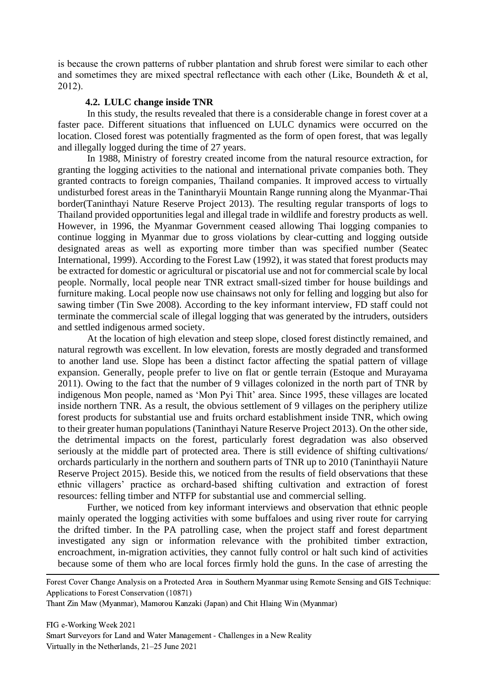is because the crown patterns of rubber plantation and shrub forest were similar to each other and sometimes they are mixed spectral reflectance with each other (Like, Boundeth & et al, 2012).

#### **4.2. LULC change inside TNR**

In this study, the results revealed that there is a considerable change in forest cover at a faster pace. Different situations that influenced on LULC dynamics were occurred on the location. Closed forest was potentially fragmented as the form of open forest, that was legally and illegally logged during the time of 27 years.

In 1988, Ministry of forestry created income from the natural resource extraction, for granting the logging activities to the national and international private companies both. They granted contracts to foreign companies, Thailand companies. It improved access to virtually undisturbed forest areas in the Tanintharyii Mountain Range running along the Myanmar-Thai border(Taninthayi Nature Reserve Project 2013). The resulting regular transports of logs to Thailand provided opportunities legal and illegal trade in wildlife and forestry products as well. However, in 1996, the Myanmar Government ceased allowing Thai logging companies to continue logging in Myanmar due to gross violations by clear-cutting and logging outside designated areas as well as exporting more timber than was specified number (Seatec International, 1999). According to the Forest Law (1992), it was stated that forest products may be extracted for domestic or agricultural or piscatorial use and not for commercial scale by local people. Normally, local people near TNR extract small-sized timber for house buildings and furniture making. Local people now use chainsaws not only for felling and logging but also for sawing timber (Tin Swe 2008). According to the key informant interview, FD staff could not terminate the commercial scale of illegal logging that was generated by the intruders, outsiders and settled indigenous armed society.

At the location of high elevation and steep slope, closed forest distinctly remained, and natural regrowth was excellent. In low elevation, forests are mostly degraded and transformed to another land use. Slope has been a distinct factor affecting the spatial pattern of village expansion. Generally, people prefer to live on flat or gentle terrain (Estoque and Murayama 2011). Owing to the fact that the number of 9 villages colonized in the north part of TNR by indigenous Mon people, named as 'Mon Pyi Thit' area. Since 1995, these villages are located inside northern TNR. As a result, the obvious settlement of 9 villages on the periphery utilize forest products for substantial use and fruits orchard establishment inside TNR, which owing to their greater human populations (Taninthayi Nature Reserve Project 2013). On the other side, the detrimental impacts on the forest, particularly forest degradation was also observed seriously at the middle part of protected area. There is still evidence of shifting cultivations/ orchards particularly in the northern and southern parts of TNR up to 2010 (Taninthayii Nature Reserve Project 2015). Beside this, we noticed from the results of field observations that these ethnic villagers' practice as orchard-based shifting cultivation and extraction of forest resources: felling timber and NTFP for substantial use and commercial selling.

Further, we noticed from key informant interviews and observation that ethnic people mainly operated the logging activities with some buffaloes and using river route for carrying the drifted timber. In the PA patrolling case, when the project staff and forest department investigated any sign or information relevance with the prohibited timber extraction, encroachment, in-migration activities, they cannot fully control or halt such kind of activities because some of them who are local forces firmly hold the guns. In the case of arresting the

Forest Cover Change Analysis on a Protected Area in Southern Myanmar using Remote Sensing and GIS Technique: Applications to Forest Conservation (10871)

Thant Zin Maw (Myanmar), Mamorou Kanzaki (Japan) and Chit Hlaing Win (Myanmar)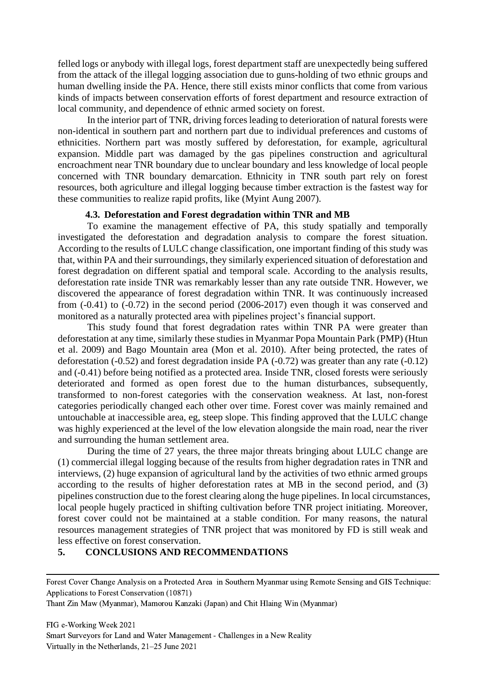felled logs or anybody with illegal logs, forest department staff are unexpectedly being suffered from the attack of the illegal logging association due to guns-holding of two ethnic groups and human dwelling inside the PA. Hence, there still exists minor conflicts that come from various kinds of impacts between conservation efforts of forest department and resource extraction of local community, and dependence of ethnic armed society on forest.

In the interior part of TNR, driving forces leading to deterioration of natural forests were non-identical in southern part and northern part due to individual preferences and customs of ethnicities. Northern part was mostly suffered by deforestation, for example, agricultural expansion. Middle part was damaged by the gas pipelines construction and agricultural encroachment near TNR boundary due to unclear boundary and less knowledge of local people concerned with TNR boundary demarcation. Ethnicity in TNR south part rely on forest resources, both agriculture and illegal logging because timber extraction is the fastest way for these communities to realize rapid profits, like (Myint Aung 2007).

#### **4.3. Deforestation and Forest degradation within TNR and MB**

To examine the management effective of PA, this study spatially and temporally investigated the deforestation and degradation analysis to compare the forest situation. According to the results of LULC change classification, one important finding of this study was that, within PA and their surroundings, they similarly experienced situation of deforestation and forest degradation on different spatial and temporal scale. According to the analysis results, deforestation rate inside TNR was remarkably lesser than any rate outside TNR. However, we discovered the appearance of forest degradation within TNR. It was continuously increased from (-0.41) to (-0.72) in the second period (2006-2017) even though it was conserved and monitored as a naturally protected area with pipelines project's financial support.

This study found that forest degradation rates within TNR PA were greater than deforestation at any time, similarly these studies in Myanmar Popa Mountain Park (PMP) (Htun et al. 2009) and Bago Mountain area (Mon et al. 2010). After being protected, the rates of deforestation (-0.52) and forest degradation inside PA (-0.72) was greater than any rate (-0.12) and (-0.41) before being notified as a protected area. Inside TNR, closed forests were seriously deteriorated and formed as open forest due to the human disturbances, subsequently, transformed to non-forest categories with the conservation weakness. At last, non-forest categories periodically changed each other over time. Forest cover was mainly remained and untouchable at inaccessible area, eg, steep slope. This finding approved that the LULC change was highly experienced at the level of the low elevation alongside the main road, near the river and surrounding the human settlement area.

During the time of 27 years, the three major threats bringing about LULC change are (1) commercial illegal logging because of the results from higher degradation rates in TNR and interviews, (2) huge expansion of agricultural land by the activities of two ethnic armed groups according to the results of higher deforestation rates at MB in the second period, and (3) pipelines construction due to the forest clearing along the huge pipelines. In local circumstances, local people hugely practiced in shifting cultivation before TNR project initiating. Moreover, forest cover could not be maintained at a stable condition. For many reasons, the natural resources management strategies of TNR project that was monitored by FD is still weak and less effective on forest conservation.

# **5. CONCLUSIONS AND RECOMMENDATIONS**

Thant Zin Maw (Myanmar), Mamorou Kanzaki (Japan) and Chit Hlaing Win (Myanmar)

FIG e-Working Week 2021 Smart Surveyors for Land and Water Management - Challenges in a New Reality Virtually in the Netherlands, 21–25 June 2021

Forest Cover Change Analysis on a Protected Area in Southern Myanmar using Remote Sensing and GIS Technique: Applications to Forest Conservation (10871)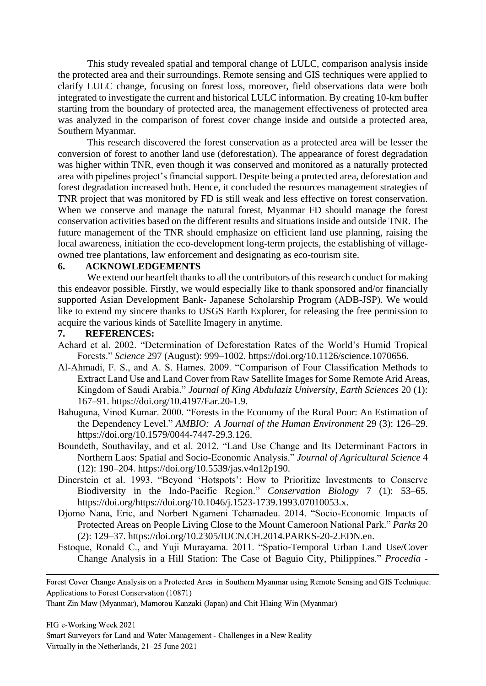This study revealed spatial and temporal change of LULC, comparison analysis inside the protected area and their surroundings. Remote sensing and GIS techniques were applied to clarify LULC change, focusing on forest loss, moreover, field observations data were both integrated to investigate the current and historical LULC information. By creating 10-km buffer starting from the boundary of protected area, the management effectiveness of protected area was analyzed in the comparison of forest cover change inside and outside a protected area, Southern Myanmar.

This research discovered the forest conservation as a protected area will be lesser the conversion of forest to another land use (deforestation). The appearance of forest degradation was higher within TNR, even though it was conserved and monitored as a naturally protected area with pipelines project's financial support. Despite being a protected area, deforestation and forest degradation increased both. Hence, it concluded the resources management strategies of TNR project that was monitored by FD is still weak and less effective on forest conservation. When we conserve and manage the natural forest, Myanmar FD should manage the forest conservation activities based on the different results and situations inside and outside TNR. The future management of the TNR should emphasize on efficient land use planning, raising the local awareness, initiation the eco-development long-term projects, the establishing of villageowned tree plantations, law enforcement and designating as eco-tourism site.

### **6. ACKNOWLEDGEMENTS**

We extend our heartfelt thanks to all the contributors of this research conduct for making this endeavor possible. Firstly, we would especially like to thank sponsored and/or financially supported Asian Development Bank- Japanese Scholarship Program (ADB-JSP). We would like to extend my sincere thanks to USGS Earth Explorer, for releasing the free permission to acquire the various kinds of Satellite Imagery in anytime.

#### **7. REFERENCES:**

- Achard et al. 2002. "Determination of Deforestation Rates of the World's Humid Tropical Forests." *Science* 297 (August): 999–1002. https://doi.org/10.1126/science.1070656.
- Al-Ahmadi, F. S., and A. S. Hames. 2009. "Comparison of Four Classification Methods to Extract Land Use and Land Cover from Raw Satellite Images for Some Remote Arid Areas, Kingdom of Saudi Arabia." *Journal of King Abdulaziz University, Earth Sciences* 20 (1): 167–91. https://doi.org/10.4197/Ear.20-1.9.
- Bahuguna, Vinod Kumar. 2000. "Forests in the Economy of the Rural Poor: An Estimation of the Dependency Level." *AMBIO: A Journal of the Human Environment* 29 (3): 126–29. https://doi.org/10.1579/0044-7447-29.3.126.
- Boundeth, Southavilay, and et al. 2012. "Land Use Change and Its Determinant Factors in Northern Laos: Spatial and Socio-Economic Analysis." *Journal of Agricultural Science* 4 (12): 190–204. https://doi.org/10.5539/jas.v4n12p190.
- Dinerstein et al. 1993. "Beyond 'Hotspots': How to Prioritize Investments to Conserve Biodiversity in the Indo‐Pacific Region." *Conservation Biology* 7 (1): 53–65. https://doi.org/https://doi.org/10.1046/j.1523-1739.1993.07010053.x.
- Djomo Nana, Eric, and Norbert Ngameni Tchamadeu. 2014. "Socio-Economic Impacts of Protected Areas on People Living Close to the Mount Cameroon National Park." *Parks* 20 (2): 129–37. https://doi.org/10.2305/IUCN.CH.2014.PARKS-20-2.EDN.en.
- Estoque, Ronald C., and Yuji Murayama. 2011. "Spatio-Temporal Urban Land Use/Cover Change Analysis in a Hill Station: The Case of Baguio City, Philippines." *Procedia -*

Forest Cover Change Analysis on a Protected Area in Southern Myanmar using Remote Sensing and GIS Technique: Applications to Forest Conservation (10871)

Thant Zin Maw (Myanmar), Mamorou Kanzaki (Japan) and Chit Hlaing Win (Myanmar)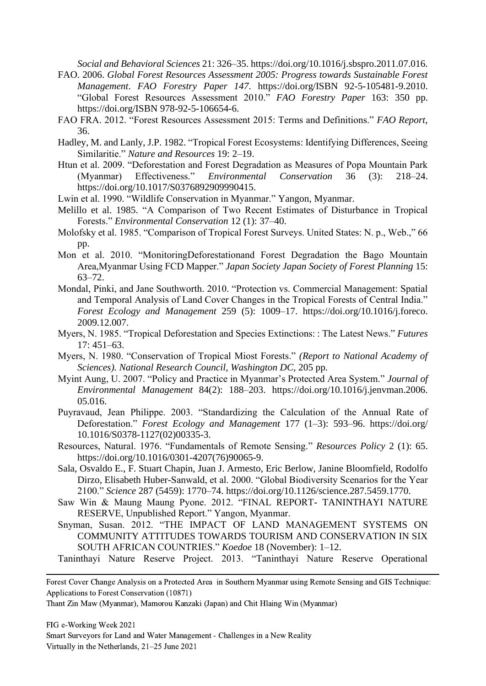*Social and Behavioral Sciences* 21: 326–35. https://doi.org/10.1016/j.sbspro.2011.07.016.

- FAO. 2006. *Global Forest Resources Assessment 2005: Progress towards Sustainable Forest Management*. *FAO Forestry Paper 147*. https://doi.org/ISBN 92-5-105481-9.2010. "Global Forest Resources Assessment 2010." *FAO Forestry Paper* 163: 350 pp. https://doi.org/ISBN 978-92-5-106654-6.
- FAO FRA. 2012. "Forest Resources Assessment 2015: Terms and Definitions." *FAO Report*, 36.
- Hadley, M. and Lanly, J.P. 1982. "Tropical Forest Ecosystems: Identifying Differences, Seeing Similaritie." *Nature and Resources* 19: 2–19.
- Htun et al. 2009. "Deforestation and Forest Degradation as Measures of Popa Mountain Park (Myanmar) Effectiveness." *Environmental Conservation* 36 (3): 218–24. https://doi.org/10.1017/S0376892909990415.
- Lwin et al. 1990. "Wildlife Conservation in Myanmar." Yangon, Myanmar.
- Melillo et al. 1985. "A Comparison of Two Recent Estimates of Disturbance in Tropical Forests." *Environmental Conservation* 12 (1): 37–40.
- Molofsky et al. 1985. "Comparison of Tropical Forest Surveys. United States: N. p., Web.," 66 pp.
- Mon et al. 2010. "MonitoringDeforestationand Forest Degradation the Bago Mountain Area,Myanmar Using FCD Mapper." *Japan Society Japan Society of Forest Planning* 15: 63–72.
- Mondal, Pinki, and Jane Southworth. 2010. "Protection vs. Commercial Management: Spatial and Temporal Analysis of Land Cover Changes in the Tropical Forests of Central India." *Forest Ecology and Management* 259 (5): 1009–17. https://doi.org/10.1016/j.foreco. 2009.12.007.
- Myers, N. 1985. "Tropical Deforestation and Species Extinctions: : The Latest News." *Futures* 17: 451–63.
- Myers, N. 1980. "Conservation of Tropical Miost Forests." *(Report to National Academy of Sciences). National Research Council, Washington DC,* 205 pp.
- Myint Aung, U. 2007. "Policy and Practice in Myanmar's Protected Area System." *Journal of Environmental Management* 84(2): 188–203. https://doi.org/10.1016/j.jenvman.2006. 05.016.
- Puyravaud, Jean Philippe. 2003. "Standardizing the Calculation of the Annual Rate of Deforestation." *Forest Ecology and Management* 177 (1–3): 593–96. https://doi.org/ 10.1016/S0378-1127(02)00335-3.
- Resources, Natural. 1976. "Fundamentals of Remote Sensing." *Resources Policy* 2 (1): 65. https://doi.org/10.1016/0301-4207(76)90065-9.
- Sala, Osvaldo E., F. Stuart Chapin, Juan J. Armesto, Eric Berlow, Janine Bloomfield, Rodolfo Dirzo, Elisabeth Huber-Sanwald, et al. 2000. "Global Biodiversity Scenarios for the Year 2100." *Science* 287 (5459): 1770–74. https://doi.org/10.1126/science.287.5459.1770.
- Saw Win & Maung Maung Pyone. 2012. "FINAL REPORT- TANINTHAYI NATURE RESERVE, Unpublished Report." Yangon, Myanmar.
- Snyman, Susan. 2012. "THE IMPACT OF LAND MANAGEMENT SYSTEMS ON COMMUNITY ATTITUDES TOWARDS TOURISM AND CONSERVATION IN SIX SOUTH AFRICAN COUNTRIES." *Koedoe* 18 (November): 1–12.
- Taninthayi Nature Reserve Project. 2013. "Taninthayi Nature Reserve Operational

Forest Cover Change Analysis on a Protected Area in Southern Myanmar using Remote Sensing and GIS Technique: Applications to Forest Conservation (10871)

Thant Zin Maw (Myanmar), Mamorou Kanzaki (Japan) and Chit Hlaing Win (Myanmar)